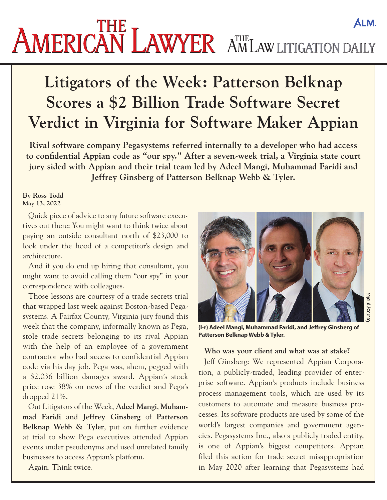# AMERICAN LAWYER AMLAW LITIGATION DAILY **ALM.**

# **Litigators of the Week: Patterson Belknap Scores a \$2 Billion Trade Software Secret Verdict in Virginia for Software Maker Appian**

**Rival software company Pegasystems referred internally to a developer who had access to confidential Appian code as "our spy." After a seven-week trial, a Virginia state court jury sided with Appian and their trial team led by Adeel Mangi, Muhammad Faridi and Jeffrey Ginsberg of Patterson Belknap Webb & Tyler.**

#### **By Ross Todd May 13, 2022**

Quick piece of advice to any future software executives out there: You might want to think twice about paying an outside consultant north of \$23,000 to look under the hood of a competitor's design and architecture.

And if you do end up hiring that consultant, you might want to avoid calling them "our spy" in your correspondence with colleagues.

Those lessons are courtesy of a trade secrets trial that wrapped last week against Boston-based Pegasystems. A Fairfax County, Virginia jury found this week that the company, informally known as Pega, stole trade secrets belonging to its rival Appian with the help of an employee of a government contractor who had access to confidential Appian code via his day job. Pega was, ahem, pegged with [a \\$2.036 billion damages award.](https://drive.google.com/file/d/1u-n3WqLxrJ74Ca3zHSNal1b8q5sdJvZP/view?usp=sharing) Appian's stock price rose 38% on news of the verdict and Pega's dropped 21%.

Out Litigators of the Week, **Adeel Mangi**, **Muhammad Faridi** and **Jeffrey Ginsberg** of **Patterson Belknap Webb & Tyler**, put on further evidence at trial to show Pega executives attended Appian events under pseudonyms and used unrelated family businesses to access Appian's platform.

Again. Think twice.



**(l-r) Adeel Mangi, Muhammad Faridi, and Jeffrey Ginsberg of Patterson Belknap Webb & Tyler.**

#### **Who was your client and what was at stake?**

Jeff Ginsberg: We represented Appian Corporation, a publicly-traded, leading provider of enterprise software. Appian's products include business process management tools, which are used by its customers to automate and measure business processes. Its software products are used by some of the world's largest companies and government agencies. Pegasystems Inc., also a publicly traded entity, is one of Appian's biggest competitors. Appian filed this action for trade secret misappropriation in May 2020 after learning that Pegasystems had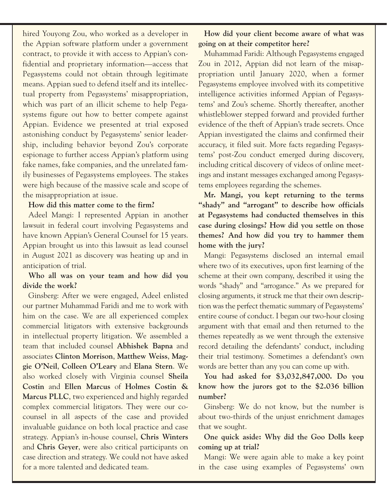hired Youyong Zou, who worked as a developer in the Appian software platform under a government contract, to provide it with access to Appian's confidential and proprietary information—access that Pegasystems could not obtain through legitimate means. Appian sued to defend itself and its intellectual property from Pegasystems' misappropriation, which was part of an illicit scheme to help Pegasystems figure out how to better compete against Appian. Evidence we presented at trial exposed astonishing conduct by Pegasystems' senior leadership, including behavior beyond Zou's corporate espionage to further access Appian's platform using fake names, fake companies, and the unrelated family businesses of Pegasystems employees. The stakes were high because of the massive scale and scope of the misappropriation at issue.

#### **How did this matter come to the firm?**

Adeel Mangi: I represented Appian in another lawsuit in federal court involving Pegasystems and have known Appian's General Counsel for 15 years. Appian brought us into this lawsuit as lead counsel in August 2021 as discovery was heating up and in anticipation of trial.

## **Who all was on your team and how did you divide the work?**

Ginsberg: After we were engaged, Adeel enlisted our partner Muhammad Faridi and me to work with him on the case. We are all experienced complex commercial litigators with extensive backgrounds in intellectual property litigation. We assembled a team that included counsel **Abhishek Bapna** and associates **Clinton Morrison**, **Matthew Weiss**, **Maggie O'Neil**, **Colleen O'Leary** and **Elana Stern**. We also worked closely with Virginia counsel **Sheila Costin** and **Ellen Marcus** of **Holmes Costin & Marcus PLLC**, two experienced and highly regarded complex commercial litigators. They were our cocounsel in all aspects of the case and provided invaluable guidance on both local practice and case strategy. Appian's in-house counsel, **Chris Winters** and **Chris Geyer**, were also critical participants on case direction and strategy. We could not have asked for a more talented and dedicated team.

**How did your client become aware of what was going on at their competitor here?**

Muhammad Faridi: Although Pegasystems engaged Zou in 2012, Appian did not learn of the misappropriation until January 2020, when a former Pegasystems employee involved with its competitive intelligence activities informed Appian of Pegasystems' and Zou's scheme. Shortly thereafter, another whistleblower stepped forward and provided further evidence of the theft of Appian's trade secrets. Once Appian investigated the claims and confirmed their accuracy, it filed suit. More facts regarding Pegasystems' post-Zou conduct emerged during discovery, including critical discovery of videos of online meetings and instant messages exchanged among Pegasystems employees regarding the schemes.

**Mr. Mangi, you kept returning to the terms "shady" and "arrogant" to describe how officials at Pegasystems had conducted themselves in this case during closings? How did you settle on those themes? And how did you try to hammer them home with the jury?** 

Mangi: Pegasystems disclosed an internal email where two of its executives, upon first learning of the scheme at their own company, described it using the words "shady" and "arrogance." As we prepared for closing arguments, it struck me that their own description was the perfect thematic summary of Pegasystems' entire course of conduct. I began our two-hour closing argument with that email and then returned to the themes repeatedly as we went through the extensive record detailing the defendants' conduct, including their trial testimony. Sometimes a defendant's own words are better than any you can come up with.

**You had asked for \$3,032,847,000. Do you know how the jurors got to the \$2.036 billion number?**

Ginsberg: We do not know, but the number is about two-thirds of the unjust enrichment damages that we sought.

**One quick aside: Why did the Goo Dolls keep coming up at trial?** 

Mangi: We were again able to make a key point in the case using examples of Pegasystems' own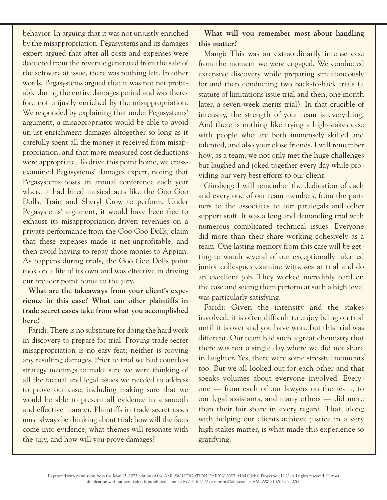behavior. In arguing that it was not unjustly enriched by the misappropriation. Pegasystems and its damages expert argued that after all costs and expenses were deducted from the revenue generated from the sale of the software at issue, there was nothing left. In other words, Pegasystems argued that it was not net profitable during the entire damages period and was therefore not unjustly enriched by the misappropriation. We responded by explaining that under Pegasystems' argument, a misappropriator would be able to avoid unjust enrichment damages altogether so long as it carefully spent all the money it received from misappropriation, and that more measured cost deductions were appropriate. To drive this point home, we crossexamined Pegasystems' damages expert, noting that Pegasystems hosts an annual conference each year where it had hired musical acts like the Goo Goo Dolls, Train and Sheryl Crow to perform. Under Pegasystems' argument, it would have been free to exhaust its misappropriation-driven revenues on a private performance from the Goo Goo Dolls, claim that these expenses made it net-unprofitable, and then avoid having to repay those monies to Appian. As happens during trials, the Goo Goo Dolls point took on a life of its own and was effective in driving our broader point home to the jury.

## **What are the takeaways from your client's experience in this case? What can other plaintiffs in trade secret cases take from what you accomplished here?**

Faridi: There is no substitute for doing the hard work in discovery to prepare for trial. Proving trade secret misappropriation is no easy feat; neither is proving any resulting damages. Prior to trial we had countless strategy meetings to make sure we were thinking of all the factual and legal issues we needed to address to prove our case, including making sure that we would be able to present all evidence in a smooth and effective manner. Plaintiffs in trade secret cases must always be thinking about trial: how will the facts come into evidence, what themes will resonate with the jury, and how will you prove damages?

# **What will you remember most about handling this matter?**

Mangi: This was an extraordinarily intense case from the moment we were engaged. We conducted extensive discovery while preparing simultaneously for and then conducting two back-to-back trials (a statute of limitations issue trial and then, one month later, a seven-week merits trial). In that crucible of intensity, the strength of your team is everything. And there is nothing like trying a high-stakes case with people who are both immensely skilled and talented, and also your close friends. I will remember how, as a team, we not only met the huge challenges but laughed and joked together every day while providing our very best efforts to our client.

Ginsberg: I will remember the dedication of each and every one of our team members, from the partners to the associates to our paralegals and other support staff. It was a long and demanding trial with numerous complicated technical issues. Everyone did more than their share working cohesively as a team. One lasting memory from this case will be getting to watch several of our exceptionally talented junior colleagues examine witnesses at trial and do an excellent job. They worked incredibly hard on the case and seeing them perform at such a high level was particularly satisfying.

Faridi: Given the intensity and the stakes involved, it is often difficult to enjoy being on trial until it is over and you have won. But this trial was different. Our team had such a great chemistry that there was not a single day where we did not share in laughter. Yes, there were some stressful moments too. But we all looked out for each other and that speaks volumes about everyone involved. Everyone — from each of our lawyers on the team, to our legal assistants, and many others — did more than their fair share in every regard. That, along with helping our clients achieve justice in a very high stakes matter, is what made this experience so gratifying.